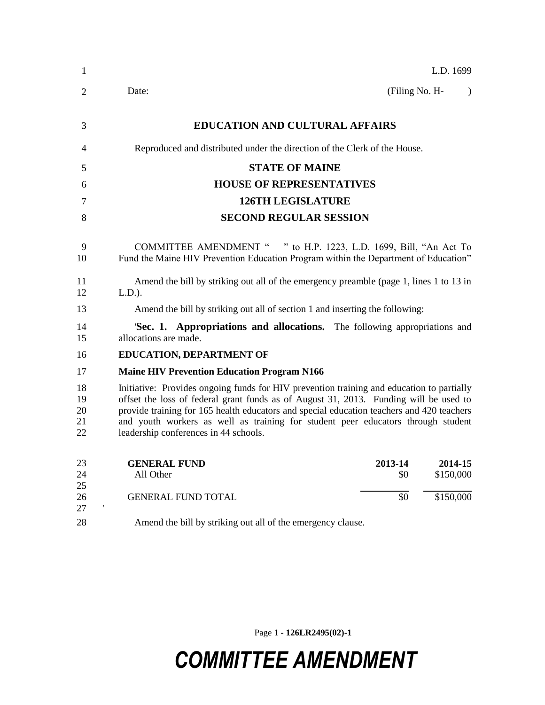| $\mathbf{1}$               | L.D. 1699                                                                                                                                                                                                                                                                                                                                                                                                    |
|----------------------------|--------------------------------------------------------------------------------------------------------------------------------------------------------------------------------------------------------------------------------------------------------------------------------------------------------------------------------------------------------------------------------------------------------------|
| $\overline{2}$             | (Filing No. H-<br>Date:<br>$\lambda$                                                                                                                                                                                                                                                                                                                                                                         |
| 3                          | <b>EDUCATION AND CULTURAL AFFAIRS</b>                                                                                                                                                                                                                                                                                                                                                                        |
| 4                          | Reproduced and distributed under the direction of the Clerk of the House.                                                                                                                                                                                                                                                                                                                                    |
| 5                          | <b>STATE OF MAINE</b>                                                                                                                                                                                                                                                                                                                                                                                        |
| 6                          | <b>HOUSE OF REPRESENTATIVES</b>                                                                                                                                                                                                                                                                                                                                                                              |
| 7                          | <b>126TH LEGISLATURE</b>                                                                                                                                                                                                                                                                                                                                                                                     |
| 8                          | <b>SECOND REGULAR SESSION</b>                                                                                                                                                                                                                                                                                                                                                                                |
| 9<br>10                    | COMMITTEE AMENDMENT " " to H.P. 1223, L.D. 1699, Bill, "An Act To<br>Fund the Maine HIV Prevention Education Program within the Department of Education"                                                                                                                                                                                                                                                     |
| 11<br>12                   | Amend the bill by striking out all of the emergency preamble (page 1, lines 1 to 13 in<br>$L.D.$ ).                                                                                                                                                                                                                                                                                                          |
| 13                         | Amend the bill by striking out all of section 1 and inserting the following:                                                                                                                                                                                                                                                                                                                                 |
| 14<br>15                   | 'Sec. 1. Appropriations and allocations. The following appropriations and<br>allocations are made.                                                                                                                                                                                                                                                                                                           |
| 16                         | <b>EDUCATION, DEPARTMENT OF</b>                                                                                                                                                                                                                                                                                                                                                                              |
| 17                         | <b>Maine HIV Prevention Education Program N166</b>                                                                                                                                                                                                                                                                                                                                                           |
| 18<br>19<br>20<br>21<br>22 | Initiative: Provides ongoing funds for HIV prevention training and education to partially<br>offset the loss of federal grant funds as of August 31, 2013. Funding will be used to<br>provide training for 165 health educators and special education teachers and 420 teachers<br>and youth workers as well as training for student peer educators through student<br>leadership conferences in 44 schools. |
| 23<br>24<br>25             | <b>GENERAL FUND</b><br>2013-14<br>2014-15<br>\$150,000<br>All Other<br>\$0                                                                                                                                                                                                                                                                                                                                   |
| 26<br>27                   | \$0<br>\$150,000<br><b>GENERAL FUND TOTAL</b>                                                                                                                                                                                                                                                                                                                                                                |
| 28                         | Amend the bill by striking out all of the emergency clause.                                                                                                                                                                                                                                                                                                                                                  |

Page 1 **- 126LR2495(02)-1**

## *COMMITTEE AMENDMENT*